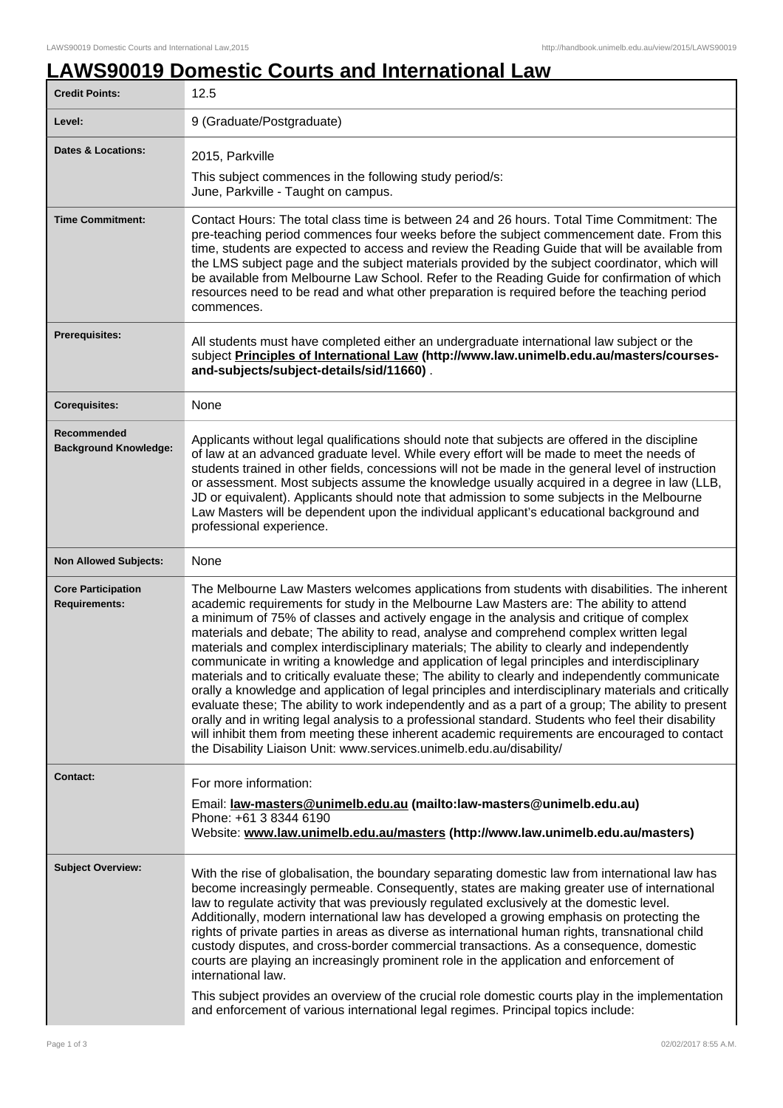## **LAWS90019 Domestic Courts and International Law**

| <b>Credit Points:</b>                             | 12.5                                                                                                                                                                                                                                                                                                                                                                                                                                                                                                                                                                                                                                                                                                                                                                                                                                                                                                                                                                                                                                                                                                                                                                             |
|---------------------------------------------------|----------------------------------------------------------------------------------------------------------------------------------------------------------------------------------------------------------------------------------------------------------------------------------------------------------------------------------------------------------------------------------------------------------------------------------------------------------------------------------------------------------------------------------------------------------------------------------------------------------------------------------------------------------------------------------------------------------------------------------------------------------------------------------------------------------------------------------------------------------------------------------------------------------------------------------------------------------------------------------------------------------------------------------------------------------------------------------------------------------------------------------------------------------------------------------|
| Level:                                            | 9 (Graduate/Postgraduate)                                                                                                                                                                                                                                                                                                                                                                                                                                                                                                                                                                                                                                                                                                                                                                                                                                                                                                                                                                                                                                                                                                                                                        |
| <b>Dates &amp; Locations:</b>                     | 2015, Parkville                                                                                                                                                                                                                                                                                                                                                                                                                                                                                                                                                                                                                                                                                                                                                                                                                                                                                                                                                                                                                                                                                                                                                                  |
|                                                   | This subject commences in the following study period/s:<br>June, Parkville - Taught on campus.                                                                                                                                                                                                                                                                                                                                                                                                                                                                                                                                                                                                                                                                                                                                                                                                                                                                                                                                                                                                                                                                                   |
| <b>Time Commitment:</b>                           | Contact Hours: The total class time is between 24 and 26 hours. Total Time Commitment: The<br>pre-teaching period commences four weeks before the subject commencement date. From this<br>time, students are expected to access and review the Reading Guide that will be available from<br>the LMS subject page and the subject materials provided by the subject coordinator, which will<br>be available from Melbourne Law School. Refer to the Reading Guide for confirmation of which<br>resources need to be read and what other preparation is required before the teaching period<br>commences.                                                                                                                                                                                                                                                                                                                                                                                                                                                                                                                                                                          |
| <b>Prerequisites:</b>                             | All students must have completed either an undergraduate international law subject or the<br>subject Principles of International Law (http://www.law.unimelb.edu.au/masters/courses-<br>and-subjects/subject-details/sid/11660).                                                                                                                                                                                                                                                                                                                                                                                                                                                                                                                                                                                                                                                                                                                                                                                                                                                                                                                                                 |
| <b>Corequisites:</b>                              | None                                                                                                                                                                                                                                                                                                                                                                                                                                                                                                                                                                                                                                                                                                                                                                                                                                                                                                                                                                                                                                                                                                                                                                             |
| Recommended<br><b>Background Knowledge:</b>       | Applicants without legal qualifications should note that subjects are offered in the discipline<br>of law at an advanced graduate level. While every effort will be made to meet the needs of<br>students trained in other fields, concessions will not be made in the general level of instruction<br>or assessment. Most subjects assume the knowledge usually acquired in a degree in law (LLB,<br>JD or equivalent). Applicants should note that admission to some subjects in the Melbourne<br>Law Masters will be dependent upon the individual applicant's educational background and<br>professional experience.                                                                                                                                                                                                                                                                                                                                                                                                                                                                                                                                                         |
| <b>Non Allowed Subjects:</b>                      | None                                                                                                                                                                                                                                                                                                                                                                                                                                                                                                                                                                                                                                                                                                                                                                                                                                                                                                                                                                                                                                                                                                                                                                             |
| <b>Core Participation</b><br><b>Requirements:</b> | The Melbourne Law Masters welcomes applications from students with disabilities. The inherent<br>academic requirements for study in the Melbourne Law Masters are: The ability to attend<br>a minimum of 75% of classes and actively engage in the analysis and critique of complex<br>materials and debate; The ability to read, analyse and comprehend complex written legal<br>materials and complex interdisciplinary materials; The ability to clearly and independently<br>communicate in writing a knowledge and application of legal principles and interdisciplinary<br>materials and to critically evaluate these; The ability to clearly and independently communicate<br>orally a knowledge and application of legal principles and interdisciplinary materials and critically<br>evaluate these; The ability to work independently and as a part of a group; The ability to present<br>orally and in writing legal analysis to a professional standard. Students who feel their disability<br>will inhibit them from meeting these inherent academic requirements are encouraged to contact<br>the Disability Liaison Unit: www.services.unimelb.edu.au/disability/ |
| <b>Contact:</b>                                   | For more information:                                                                                                                                                                                                                                                                                                                                                                                                                                                                                                                                                                                                                                                                                                                                                                                                                                                                                                                                                                                                                                                                                                                                                            |
|                                                   | Email: law-masters@unimelb.edu.au (mailto:law-masters@unimelb.edu.au)<br>Phone: +61 3 8344 6190<br>Website: www.law.unimelb.edu.au/masters (http://www.law.unimelb.edu.au/masters)                                                                                                                                                                                                                                                                                                                                                                                                                                                                                                                                                                                                                                                                                                                                                                                                                                                                                                                                                                                               |
| <b>Subject Overview:</b>                          | With the rise of globalisation, the boundary separating domestic law from international law has<br>become increasingly permeable. Consequently, states are making greater use of international<br>law to regulate activity that was previously regulated exclusively at the domestic level.<br>Additionally, modern international law has developed a growing emphasis on protecting the<br>rights of private parties in areas as diverse as international human rights, transnational child<br>custody disputes, and cross-border commercial transactions. As a consequence, domestic<br>courts are playing an increasingly prominent role in the application and enforcement of<br>international law.<br>This subject provides an overview of the crucial role domestic courts play in the implementation<br>and enforcement of various international legal regimes. Principal topics include:                                                                                                                                                                                                                                                                                 |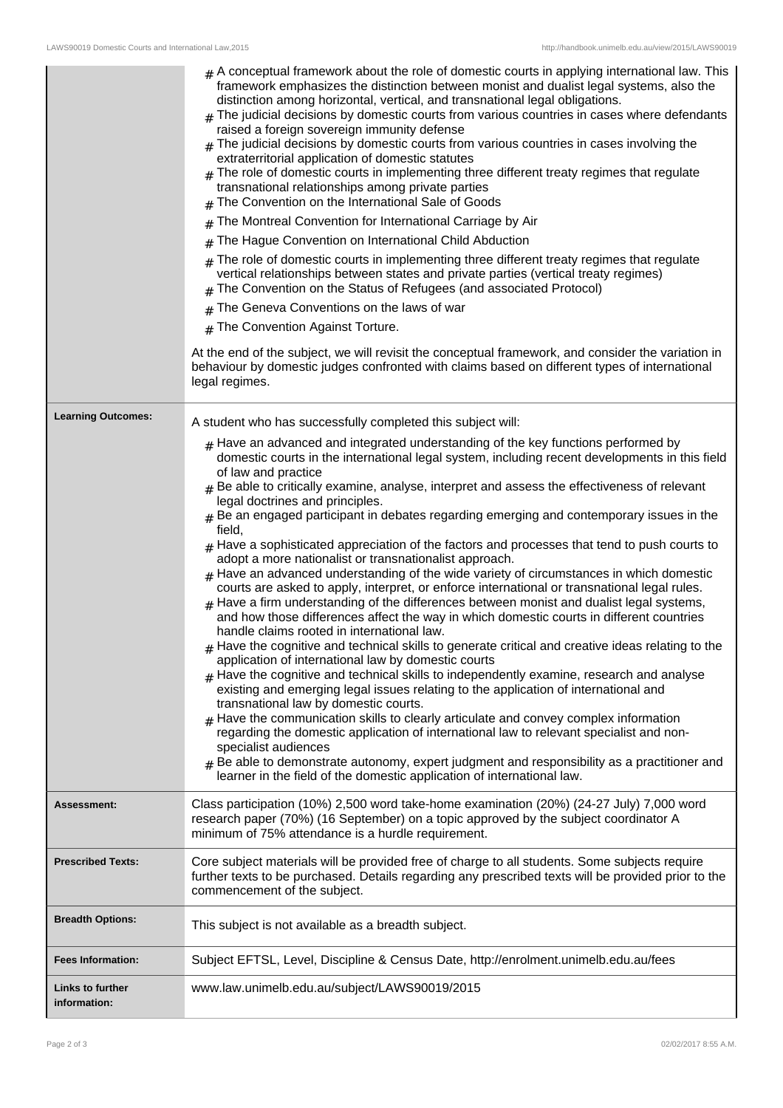|                                         | $#$ A conceptual framework about the role of domestic courts in applying international law. This<br>framework emphasizes the distinction between monist and dualist legal systems, also the<br>distinction among horizontal, vertical, and transnational legal obligations.<br>$_{\rm H}$ The judicial decisions by domestic courts from various countries in cases where defendants<br>raised a foreign sovereign immunity defense<br>$#$ The judicial decisions by domestic courts from various countries in cases involving the<br>extraterritorial application of domestic statutes<br>$_{\#}$ The role of domestic courts in implementing three different treaty regimes that regulate<br>transnational relationships among private parties<br>$#$ The Convention on the International Sale of Goods<br>The Montreal Convention for International Carriage by Air<br>#<br>The Hague Convention on International Child Abduction<br>#<br>The role of domestic courts in implementing three different treaty regimes that regulate<br>#<br>vertical relationships between states and private parties (vertical treaty regimes)<br>The Convention on the Status of Refugees (and associated Protocol)<br>#<br>The Geneva Conventions on the laws of war<br>#<br># The Convention Against Torture.<br>At the end of the subject, we will revisit the conceptual framework, and consider the variation in<br>behaviour by domestic judges confronted with claims based on different types of international<br>legal regimes.                                                                                                                                                                                                                                                                                                                                                                                                                   |
|-----------------------------------------|------------------------------------------------------------------------------------------------------------------------------------------------------------------------------------------------------------------------------------------------------------------------------------------------------------------------------------------------------------------------------------------------------------------------------------------------------------------------------------------------------------------------------------------------------------------------------------------------------------------------------------------------------------------------------------------------------------------------------------------------------------------------------------------------------------------------------------------------------------------------------------------------------------------------------------------------------------------------------------------------------------------------------------------------------------------------------------------------------------------------------------------------------------------------------------------------------------------------------------------------------------------------------------------------------------------------------------------------------------------------------------------------------------------------------------------------------------------------------------------------------------------------------------------------------------------------------------------------------------------------------------------------------------------------------------------------------------------------------------------------------------------------------------------------------------------------------------------------------------------------------------------------------------------------------------------------|
| <b>Learning Outcomes:</b>               | A student who has successfully completed this subject will:<br>$_{\rm H}$ Have an advanced and integrated understanding of the key functions performed by<br>domestic courts in the international legal system, including recent developments in this field<br>of law and practice<br>$_{\text{\#}}$ Be able to critically examine, analyse, interpret and assess the effectiveness of relevant<br>legal doctrines and principles.<br>$#$ Be an engaged participant in debates regarding emerging and contemporary issues in the<br>field,<br>$#$ Have a sophisticated appreciation of the factors and processes that tend to push courts to<br>adopt a more nationalist or transnationalist approach.<br>$_{\#}$ Have an advanced understanding of the wide variety of circumstances in which domestic<br>courts are asked to apply, interpret, or enforce international or transnational legal rules.<br>$_{\#}$ Have a firm understanding of the differences between monist and dualist legal systems,<br>and how those differences affect the way in which domestic courts in different countries<br>handle claims rooted in international law.<br>$_{\rm #}$ Have the cognitive and technical skills to generate critical and creative ideas relating to the<br>application of international law by domestic courts<br>$#$ Have the cognitive and technical skills to independently examine, research and analyse<br>existing and emerging legal issues relating to the application of international and<br>transnational law by domestic courts.<br>$#$ Have the communication skills to clearly articulate and convey complex information<br>regarding the domestic application of international law to relevant specialist and non-<br>specialist audiences<br>$#$ Be able to demonstrate autonomy, expert judgment and responsibility as a practitioner and<br>learner in the field of the domestic application of international law. |
| <b>Assessment:</b>                      | Class participation (10%) 2,500 word take-home examination (20%) (24-27 July) 7,000 word<br>research paper (70%) (16 September) on a topic approved by the subject coordinator A<br>minimum of 75% attendance is a hurdle requirement.                                                                                                                                                                                                                                                                                                                                                                                                                                                                                                                                                                                                                                                                                                                                                                                                                                                                                                                                                                                                                                                                                                                                                                                                                                                                                                                                                                                                                                                                                                                                                                                                                                                                                                         |
| <b>Prescribed Texts:</b>                | Core subject materials will be provided free of charge to all students. Some subjects require<br>further texts to be purchased. Details regarding any prescribed texts will be provided prior to the<br>commencement of the subject.                                                                                                                                                                                                                                                                                                                                                                                                                                                                                                                                                                                                                                                                                                                                                                                                                                                                                                                                                                                                                                                                                                                                                                                                                                                                                                                                                                                                                                                                                                                                                                                                                                                                                                           |
| <b>Breadth Options:</b>                 | This subject is not available as a breadth subject.                                                                                                                                                                                                                                                                                                                                                                                                                                                                                                                                                                                                                                                                                                                                                                                                                                                                                                                                                                                                                                                                                                                                                                                                                                                                                                                                                                                                                                                                                                                                                                                                                                                                                                                                                                                                                                                                                            |
| <b>Fees Information:</b>                | Subject EFTSL, Level, Discipline & Census Date, http://enrolment.unimelb.edu.au/fees                                                                                                                                                                                                                                                                                                                                                                                                                                                                                                                                                                                                                                                                                                                                                                                                                                                                                                                                                                                                                                                                                                                                                                                                                                                                                                                                                                                                                                                                                                                                                                                                                                                                                                                                                                                                                                                           |
| <b>Links to further</b><br>information: | www.law.unimelb.edu.au/subject/LAWS90019/2015                                                                                                                                                                                                                                                                                                                                                                                                                                                                                                                                                                                                                                                                                                                                                                                                                                                                                                                                                                                                                                                                                                                                                                                                                                                                                                                                                                                                                                                                                                                                                                                                                                                                                                                                                                                                                                                                                                  |